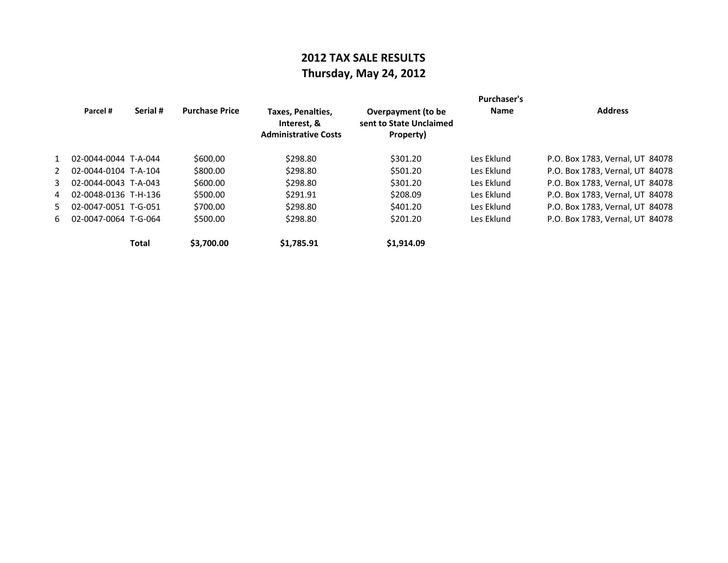# **2012 TAX SALE RESULTS Thursday, May 24, 2012**

|              | Parcel #               | Serial #     | <b>Purchase Price</b> | Taxes, Penalties,<br>Interest, &<br><b>Administrative Costs</b> | Overpayment (to be<br>sent to State Unclaimed<br>Property) | <b>Purchaser's</b><br><b>Name</b> | <b>Address</b>                  |
|--------------|------------------------|--------------|-----------------------|-----------------------------------------------------------------|------------------------------------------------------------|-----------------------------------|---------------------------------|
| $\mathbf{1}$ | 02-0044-0044 T-A-044   |              | \$600.00              | \$298.80                                                        | \$301.20                                                   | Les Eklund                        | P.O. Box 1783, Vernal, UT 84078 |
| 2            | 02-0044-0104 T-A-104   |              | \$800.00              | \$298.80                                                        | \$501.20                                                   | Les Eklund                        | P.O. Box 1783, Vernal, UT 84078 |
| 3            | 02-0044-0043 T-A-043   |              | \$600.00              | \$298.80                                                        | \$301.20                                                   | Les Eklund                        | P.O. Box 1783. Vernal. UT 84078 |
| 4            | 02-0048-0136 T-H-136   |              | \$500.00              | \$291.91                                                        | \$208.09                                                   | Les Eklund                        | P.O. Box 1783. Vernal. UT 84078 |
| 5.           | 02-0047-0051 T-G-051   |              | \$700.00              | \$298.80                                                        | \$401.20                                                   | Les Eklund                        | P.O. Box 1783, Vernal, UT 84078 |
|              | 6 02-0047-0064 T-G-064 |              | \$500.00              | \$298.80                                                        | \$201.20                                                   | Les Eklund                        | P.O. Box 1783, Vernal, UT 84078 |
|              |                        | <b>Total</b> | \$3,700.00            | \$1.785.91                                                      | \$1,914.09                                                 |                                   |                                 |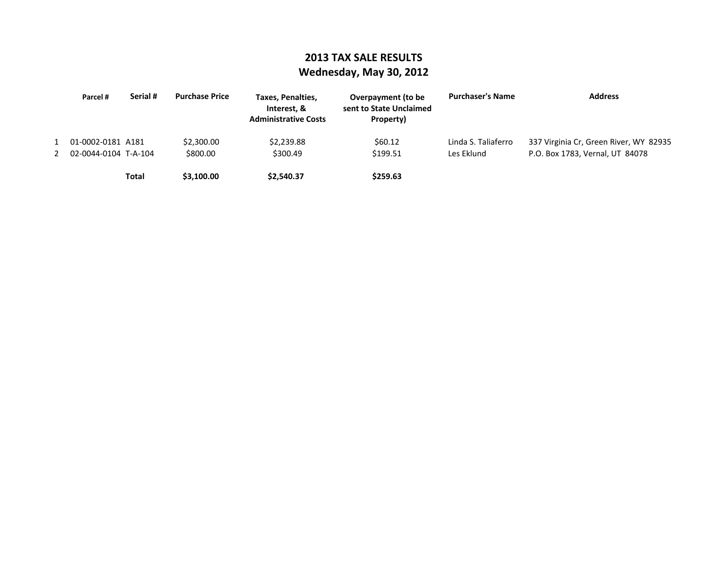### **2013 TAX SALE RESULTS Wednesday, May 30, 2012**

| Parcel #               | Serial # | <b>Purchase Price</b> | Taxes, Penalties,<br>Interest. &<br><b>Administrative Costs</b> | Overpayment (to be<br>sent to State Unclaimed<br>Property) | <b>Purchaser's Name</b> | <b>Address</b>                         |
|------------------------|----------|-----------------------|-----------------------------------------------------------------|------------------------------------------------------------|-------------------------|----------------------------------------|
| 1 01-0002-0181 A181    |          | \$2,300.00            | \$2,239.88                                                      | \$60.12                                                    | Linda S. Taliaferro     | 337 Virginia Cr, Green River, WY 82935 |
| 2 02-0044-0104 T-A-104 |          | \$800.00              | \$300.49                                                        | \$199.51                                                   | Les Eklund              | P.O. Box 1783, Vernal, UT 84078        |
|                        | Total    | \$3,100.00            | \$2,540.37                                                      | \$259.63                                                   |                         |                                        |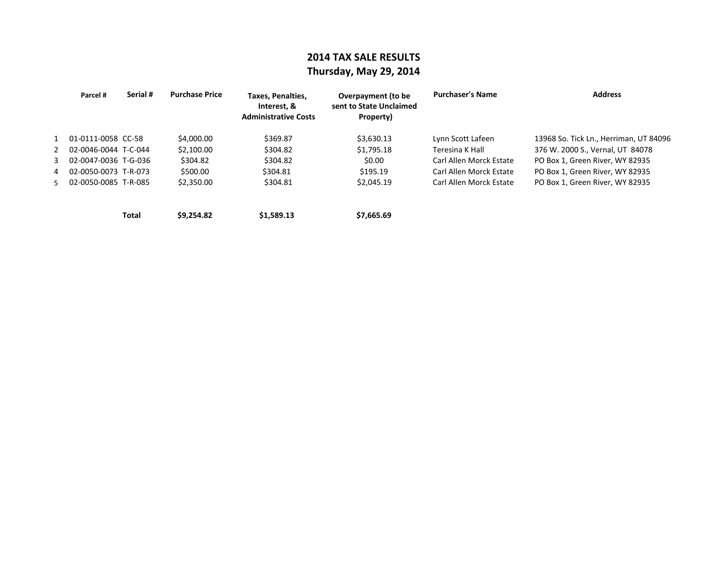### **2014 TAX SALE RESULTS Thursday, May 29, 2014**

|               | Parcel #             | Serial # | <b>Purchase Price</b> | Taxes, Penalties,<br>Interest. &<br><b>Administrative Costs</b> | Overpayment (to be<br>sent to State Unclaimed<br>Property) | <b>Purchaser's Name</b> | <b>Address</b>                         |
|---------------|----------------------|----------|-----------------------|-----------------------------------------------------------------|------------------------------------------------------------|-------------------------|----------------------------------------|
|               | 1 01-0111-0058 CC-58 |          | \$4,000.00            | \$369.87                                                        | \$3,630.13                                                 | Lynn Scott Lafeen       | 13968 So. Tick Ln., Herriman, UT 84096 |
| $\mathcal{P}$ | 02-0046-0044 T-C-044 |          | \$2,100.00            | \$304.82                                                        | \$1,795.18                                                 | Teresina K Hall         | 376 W. 2000 S., Vernal, UT 84078       |
| 3             | 02-0047-0036 T-G-036 |          | \$304.82              | \$304.82                                                        | \$0.00                                                     | Carl Allen Morck Estate | PO Box 1, Green River, WY 82935        |
| 4             | 02-0050-0073 T-R-073 |          | \$500.00              | \$304.81                                                        | \$195.19                                                   | Carl Allen Morck Estate | PO Box 1, Green River, WY 82935        |
| 5.            | 02-0050-0085 T-R-085 |          | \$2,350.00            | \$304.81                                                        | \$2,045.19                                                 | Carl Allen Morck Estate | PO Box 1, Green River, WY 82935        |
|               |                      |          |                       |                                                                 |                                                            |                         |                                        |

**Total \$9,254.82) \$1,589.13) \$7,665.69)**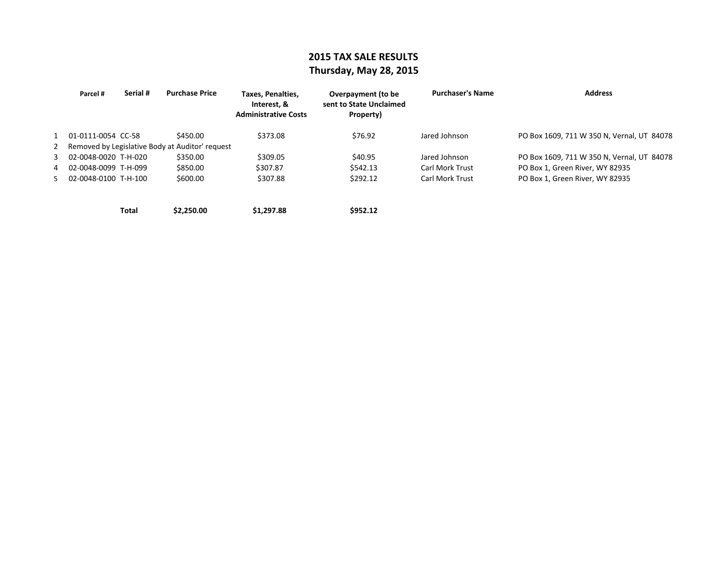### **2015 TAX SALE RESULTS Thursday, May 28, 2015**

| Parcel #               | Serial # | <b>Purchase Price</b>                             | <b>Taxes, Penalties,</b><br>Interest. &<br><b>Administrative Costs</b> | Overpayment (to be<br>sent to State Unclaimed<br>Property) | <b>Purchaser's Name</b> | <b>Address</b>                             |
|------------------------|----------|---------------------------------------------------|------------------------------------------------------------------------|------------------------------------------------------------|-------------------------|--------------------------------------------|
| 1 01-0111-0054 CC-58   |          | \$450.00                                          | \$373.08                                                               | \$76.92                                                    | Jared Johnson           | PO Box 1609, 711 W 350 N, Vernal, UT 84078 |
|                        |          | 2 Removed by Legislative Body at Auditor' request |                                                                        |                                                            |                         |                                            |
| 3 02-0048-0020 T-H-020 |          | \$350.00                                          | \$309.05                                                               | \$40.95                                                    | Jared Johnson           | PO Box 1609, 711 W 350 N, Vernal, UT 84078 |
| 4 02-0048-0099 T-H-099 |          | \$850.00                                          | \$307.87                                                               | \$542.13                                                   | <b>Carl Mork Trust</b>  | PO Box 1, Green River, WY 82935            |
| 5 02-0048-0100 T-H-100 |          | \$600.00                                          | \$307.88                                                               | \$292.12                                                   | <b>Carl Mork Trust</b>  | PO Box 1, Green River, WY 82935            |
|                        |          |                                                   |                                                                        |                                                            |                         |                                            |
|                        |          |                                                   |                                                                        |                                                            |                         |                                            |

**Total \$2,250.00) \$1,297.88) \$952.12)**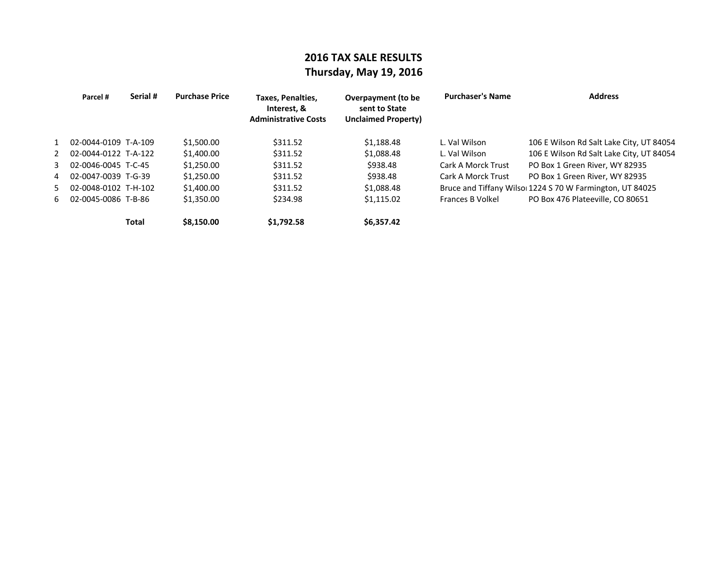## **2016 TAX SALE RESULTS Thursday, May 19, 2016**

| Parcel #               | Serial # | <b>Purchase Price</b> | Taxes, Penalties,<br>Interest. &<br><b>Administrative Costs</b> | Overpayment (to be<br>sent to State<br><b>Unclaimed Property)</b> | <b>Purchaser's Name</b> | <b>Address</b>                                           |
|------------------------|----------|-----------------------|-----------------------------------------------------------------|-------------------------------------------------------------------|-------------------------|----------------------------------------------------------|
| 1 02-0044-0109 T-A-109 |          | \$1,500.00            | \$311.52                                                        | \$1,188.48                                                        | L. Val Wilson           | 106 E Wilson Rd Salt Lake City, UT 84054                 |
| 2 02-0044-0122 T-A-122 |          | \$1,400.00            | \$311.52                                                        | \$1,088.48                                                        | L. Val Wilson           | 106 E Wilson Rd Salt Lake City, UT 84054                 |
| 3 02-0046-0045 T-C-45  |          | \$1,250.00            | \$311.52                                                        | \$938.48                                                          | Cark A Morck Trust      | PO Box 1 Green River, WY 82935                           |
| 4 02-0047-0039 T-G-39  |          | \$1,250.00            | \$311.52                                                        | \$938.48                                                          | Cark A Morck Trust      | PO Box 1 Green River, WY 82935                           |
| 5 02-0048-0102 T-H-102 |          | \$1,400.00            | \$311.52                                                        | \$1,088.48                                                        |                         | Bruce and Tiffany Wilso 1224 S 70 W Farmington, UT 84025 |
| 6 02-0045-0086 T-B-86  |          | \$1,350.00            | \$234.98                                                        | \$1,115.02                                                        | Frances B Volkel        | PO Box 476 Plateeville, CO 80651                         |
|                        | Total    | \$8,150.00            | \$1,792.58                                                      | \$6.357.42                                                        |                         |                                                          |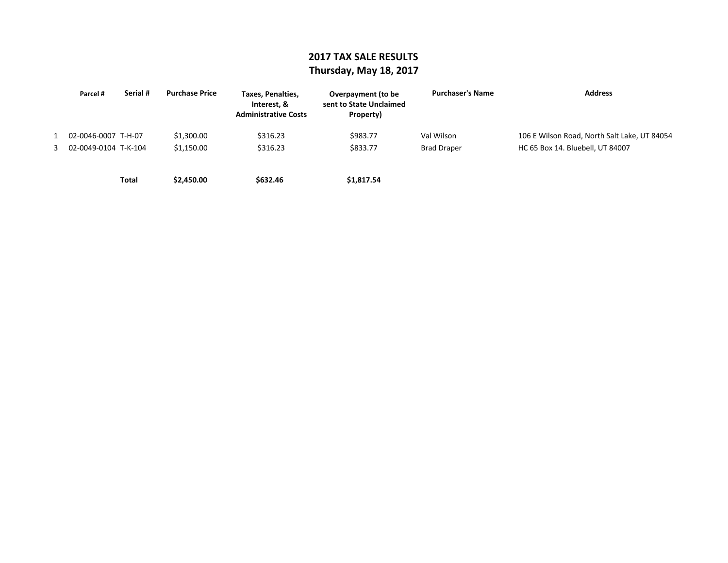### **2017 TAX SALE RESULTS Thursday, May 18, 2017**

| Parcel #               | Serial # | <b>Purchase Price</b> | Taxes, Penalties,<br>Interest. &<br><b>Administrative Costs</b> | Overpayment (to be<br>sent to State Unclaimed<br>Property) | <b>Purchaser's Name</b> | <b>Address</b>                               |
|------------------------|----------|-----------------------|-----------------------------------------------------------------|------------------------------------------------------------|-------------------------|----------------------------------------------|
| 02-0046-0007 T-H-07    |          | \$1,300.00            | \$316.23                                                        | \$983.77                                                   | Val Wilson              | 106 E Wilson Road, North Salt Lake, UT 84054 |
| 3 02-0049-0104 T-K-104 |          | \$1.150.00            | \$316.23                                                        | \$833.77                                                   | <b>Brad Draper</b>      | HC 65 Box 14. Bluebell, UT 84007             |
|                        | Total    | \$2,450.00            | \$632.46                                                        | \$1,817.54                                                 |                         |                                              |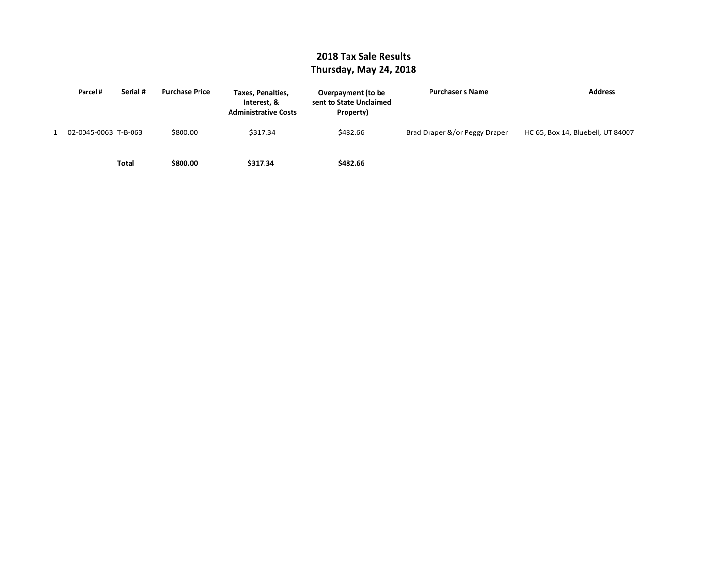#### **2018 Tax Sale Results Thursday, May 24, 2018**

| Parcel #             | Serial # | <b>Purchase Price</b> | Taxes, Penalties,<br>Interest, &<br><b>Administrative Costs</b> | Overpayment (to be<br>sent to State Unclaimed<br>Property) | <b>Purchaser's Name</b>       | <b>Address</b>                    |
|----------------------|----------|-----------------------|-----------------------------------------------------------------|------------------------------------------------------------|-------------------------------|-----------------------------------|
| 02-0045-0063 T-B-063 |          | \$800.00              | \$317.34                                                        | \$482.66                                                   | Brad Draper &/or Peggy Draper | HC 65, Box 14, Bluebell, UT 84007 |
|                      | Total    | \$800.00              | \$317.34                                                        | \$482.66                                                   |                               |                                   |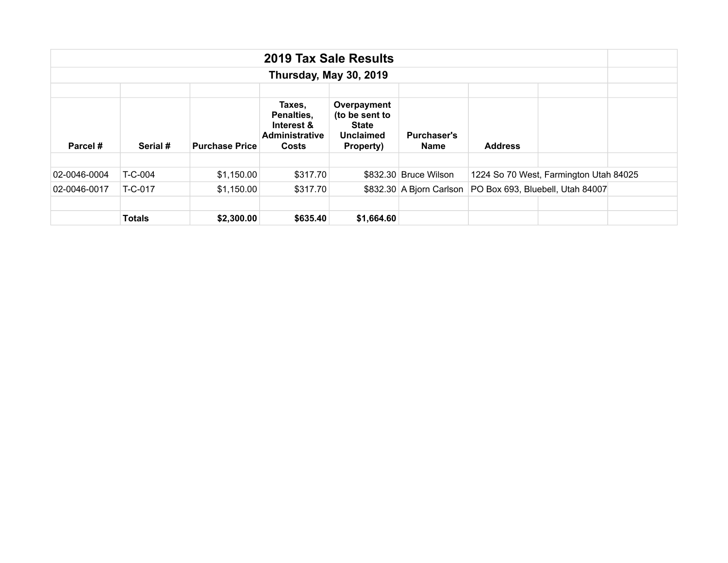| 2019 Tax Sale Results |                        |                       |                                                                                                                                                                               |            |                       |                                                             |                                        |  |  |  |  |  |
|-----------------------|------------------------|-----------------------|-------------------------------------------------------------------------------------------------------------------------------------------------------------------------------|------------|-----------------------|-------------------------------------------------------------|----------------------------------------|--|--|--|--|--|
|                       | Thursday, May 30, 2019 |                       |                                                                                                                                                                               |            |                       |                                                             |                                        |  |  |  |  |  |
| Parcel#<br>Serial #   |                        | <b>Purchase Price</b> | Taxes,<br>Overpayment<br>(to be sent to<br>Penalties,<br>Interest &<br>State<br><b>Administrative</b><br><b>Purchaser's</b><br><b>Unclaimed</b><br>Costs<br>Property)<br>Name |            |                       | <b>Address</b>                                              |                                        |  |  |  |  |  |
|                       |                        |                       |                                                                                                                                                                               |            |                       |                                                             |                                        |  |  |  |  |  |
| 02-0046-0004          | T-C-004                | \$1,150.00            | \$317.70                                                                                                                                                                      |            | \$832.30 Bruce Wilson |                                                             | 1224 So 70 West, Farmington Utah 84025 |  |  |  |  |  |
| 02-0046-0017          | T-C-017                | \$1,150.00            | \$317.70                                                                                                                                                                      |            |                       | \$832.30 A Bjorn Carlson   PO Box 693, Bluebell, Utah 84007 |                                        |  |  |  |  |  |
|                       |                        |                       |                                                                                                                                                                               |            |                       |                                                             |                                        |  |  |  |  |  |
|                       | <b>Totals</b>          | \$2,300.00            | \$635.40                                                                                                                                                                      | \$1,664.60 |                       |                                                             |                                        |  |  |  |  |  |